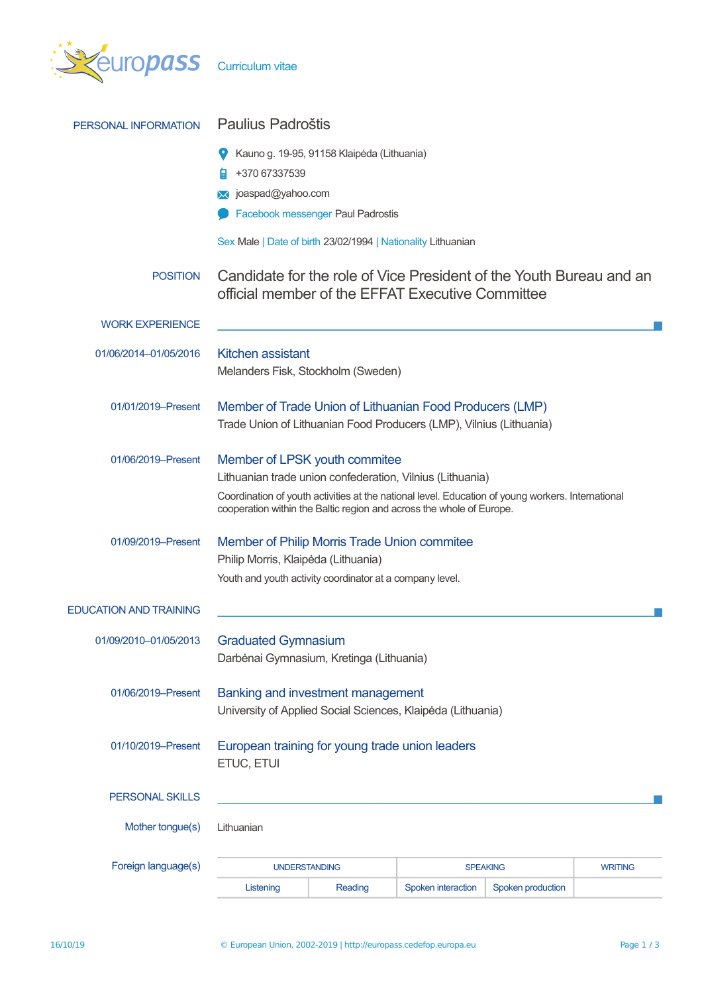

| PERSONAL INFORMATION          | Paulius Padroštis                                                                                                                                                         |                                   |                    |                   |  |  |
|-------------------------------|---------------------------------------------------------------------------------------------------------------------------------------------------------------------------|-----------------------------------|--------------------|-------------------|--|--|
|                               | Kauno g. 19-95, 91158 Klaipėda (Lithuania)                                                                                                                                |                                   |                    |                   |  |  |
|                               | +370 67337539                                                                                                                                                             |                                   |                    |                   |  |  |
|                               | ioaspad@yahoo.com                                                                                                                                                         |                                   |                    |                   |  |  |
|                               |                                                                                                                                                                           | Facebook messenger Paul Padrostis |                    |                   |  |  |
|                               | Sex Male   Date of birth 23/02/1994   Nationality Lithuanian                                                                                                              |                                   |                    |                   |  |  |
| <b>POSITION</b>               | Candidate for the role of Vice President of the Youth Bureau and an<br>official member of the EFFAT Executive Committee                                                   |                                   |                    |                   |  |  |
| <b>WORK EXPERIENCE</b>        |                                                                                                                                                                           |                                   |                    |                   |  |  |
| 01/06/2014-01/05/2016         | <b>Kitchen assistant</b><br>Melanders Fisk, Stockholm (Sweden)                                                                                                            |                                   |                    |                   |  |  |
| 01/01/2019-Present            | Member of Trade Union of Lithuanian Food Producers (LMP)<br>Trade Union of Lithuanian Food Producers (LMP), Vilnius (Lithuania)                                           |                                   |                    |                   |  |  |
| 01/06/2019-Present            | Member of LPSK youth commitee                                                                                                                                             |                                   |                    |                   |  |  |
|                               | Lithuanian trade union confederation, Vilnius (Lithuania)                                                                                                                 |                                   |                    |                   |  |  |
|                               | Coordination of youth activities at the national level. Education of young workers. International<br>cooperation within the Baltic region and across the whole of Europe. |                                   |                    |                   |  |  |
| 01/09/2019-Present            | Member of Philip Morris Trade Union commitee<br>Philip Morris, Klaipėda (Lithuania)                                                                                       |                                   |                    |                   |  |  |
|                               | Youth and youth activity coordinator at a company level.                                                                                                                  |                                   |                    |                   |  |  |
| <b>EDUCATION AND TRAINING</b> |                                                                                                                                                                           |                                   |                    |                   |  |  |
| 01/09/2010-01/05/2013         | <b>Graduated Gymnasium</b><br>Darbėnai Gymnasium, Kretinga (Lithuania)                                                                                                    |                                   |                    |                   |  |  |
| 01/06/2019-Present            |                                                                                                                                                                           |                                   |                    |                   |  |  |
|                               | Banking and investment management<br>University of Applied Social Sciences, Klaipėda (Lithuania)                                                                          |                                   |                    |                   |  |  |
| 01/10/2019-Present            | European training for young trade union leaders<br>ETUC, ETUI                                                                                                             |                                   |                    |                   |  |  |
| <b>PERSONAL SKILLS</b>        |                                                                                                                                                                           |                                   |                    |                   |  |  |
| Mother tongue(s)              | Lithuanian                                                                                                                                                                |                                   |                    |                   |  |  |
| Foreign language(s)           | <b>UNDERSTANDING</b><br><b>SPEAKING</b><br><b>WRITING</b>                                                                                                                 |                                   |                    |                   |  |  |
|                               | Listening                                                                                                                                                                 | Reading                           | Spoken interaction | Spoken production |  |  |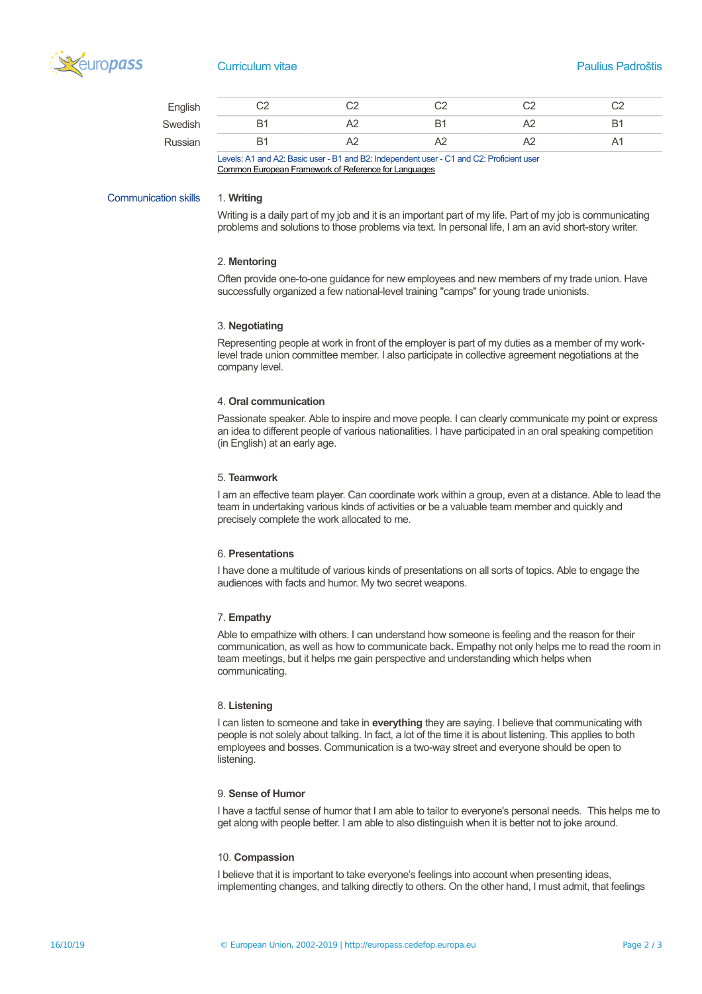

| English | ⌒⌒<br>ےب | מר      | ےب | ⌒r | ົ<br>◡▵ |
|---------|----------|---------|----|----|---------|
| Swedish | B        | ∼       | -R | ∼  | ĸ       |
| Russian | B'       | Δ1<br>∼ |    | Αź | A       |

Levels: A1 and A2: Basic user - B1 and B2: Independent user - C1 and C2: Proficient user [Common European Framework of Reference for Languages](http://europass.cedefop.europa.eu/en/resources/european-language-levels-cefr)

Communication skills 1. **Writing**

Writing is a daily part of my job and it is an important part of my life. Part of my job is communicating problems and solutions to those problems via text. In personal life, I am an avid short-story writer.

## 2. **Mentoring**

Often provide one-to-one guidance for new employees and new members of my trade union. Have successfully organized a few national-level training "camps" for young trade unionists.

## 3. **Negotiating**

Representing people at work in front of the employer is part of my duties as a member of my worklevel trade union committee member. I also participate in collective agreement negotiations at the company level.

### 4. **Oral communication**

Passionate speaker. Able to inspire and move people. I can clearly communicate my point or express an idea to different people of various nationalities. I have participated in an oral speaking competition (in English) at an early age.

### 5. **Teamwork**

I am an effective team player. Can coordinate work within a group, even at a distance. Able to lead the team in undertaking various kinds of activities or be a valuable team member and quickly and precisely complete the work allocated to me.

### 6. **Presentations**

I have done a multitude of various kinds of presentations on all sorts of topics. Able to engage the audiences with facts and humor. My two secret weapons.

# 7. **Empathy**

Able to empathize with others. I can understand how someone is feeling and the reason for their communication, as well as how to communicate back**.** Empathy not only helps me to read the room in team meetings, but it helps me gain perspective and understanding which helps when communicating.

## 8. **Listening**

I can listen to someone and take in **everything** they are saying. I believe that communicating with people is not solely about talking. In fact, a lot of the time it is about listening. This applies to both employees and bosses. Communication is a two-way street and everyone should be open to listening.

# 9. **Sense of Humor**

I have a tactful sense of humor that I am able to tailor to everyone's personal needs. This helps me to get along with people better. I am able to also distinguish when it is better not to joke around.

#### 10. **Compassion**

I believe that it is important to take everyone's feelings into account when presenting ideas, implementing changes, and talking directly to others. On the other hand, I must admit, that feelings